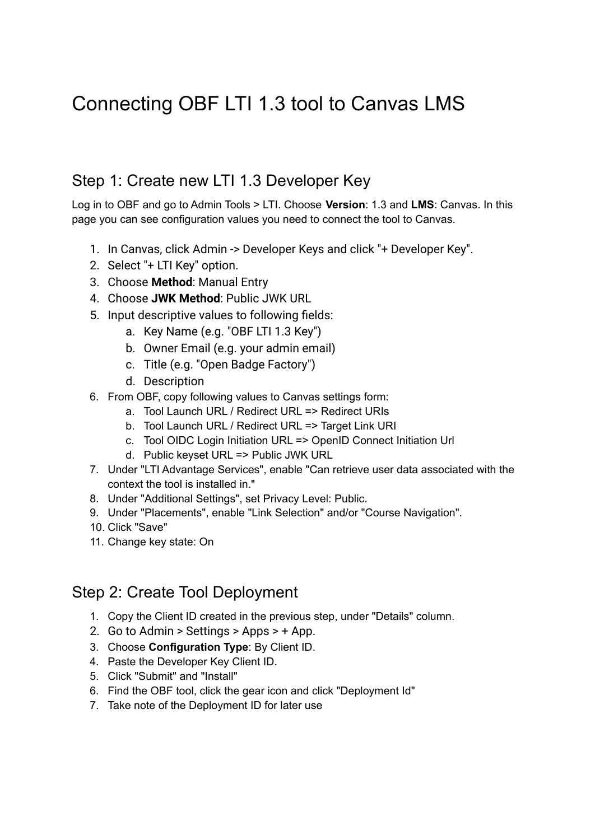# Connecting OBF LTI 1.3 tool to Canvas LMS

#### Step 1: Create new LTI 1.3 Developer Key

Log in to OBF and go to Admin Tools > LTI. Choose **Version**: 1.3 and **LMS**: Canvas. In this page you can see configuration values you need to connect the tool to Canvas.

- 1. In Canvas, click Admin -> Developer Keys and click "+ Developer Key".
- 2. Select "+ LTI Key" option.
- 3. Choose **Method**: Manual Entry
- 4. Choose **JWK Method**: Public JWK URL
- 5. Input descriptive values to following fields:
	- a. Key Name (e.g. "OBF LTI 1.3 Key")
	- b. Owner Email (e.g. your admin email)
	- c. Title (e.g. "Open Badge Factory")
	- d. Description
- 6. From OBF, copy following values to Canvas settings form:
	- a. Tool Launch URL / Redirect URL => Redirect URIs
	- b. Tool Launch URL / Redirect URL => Target Link URI
	- c. Tool OIDC Login Initiation URL => OpenID Connect Initiation Url
	- d. Public keyset URL => Public JWK URL
- 7. Under "LTI Advantage Services", enable "Can retrieve user data associated with the context the tool is installed in."
- 8. Under "Additional Settings", set Privacy Level: Public.
- 9. Under "Placements", enable "Link Selection" and/or "Course Navigation".
- 10. Click "Save"
- 11. Change key state: On

## Step 2: Create Tool Deployment

- 1. Copy the Client ID created in the previous step, under "Details" column.
- 2. Go to Admin > Settings > Apps > + App.
- 3. Choose **Configuration Type**: By Client ID.
- 4. Paste the Developer Key Client ID.
- 5. Click "Submit" and "Install"
- 6. Find the OBF tool, click the gear icon and click "Deployment Id"
- 7. Take note of the Deployment ID for later use